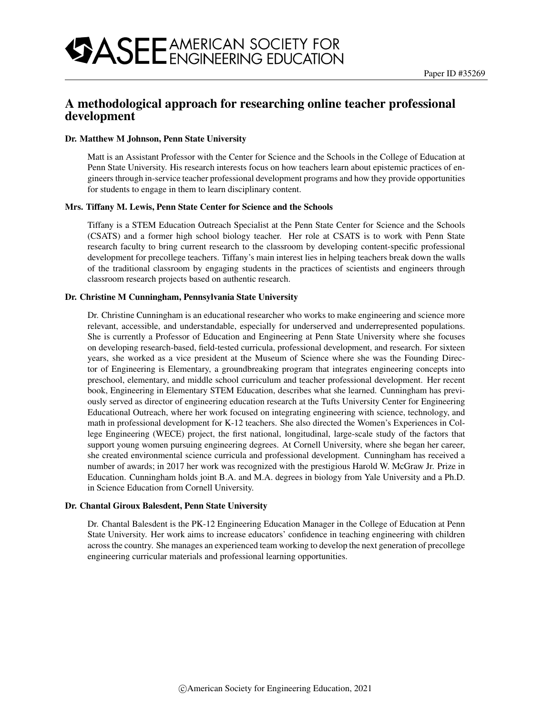# A methodological approach for researching online teacher professional development

#### Dr. Matthew M Johnson, Penn State University

Matt is an Assistant Professor with the Center for Science and the Schools in the College of Education at Penn State University. His research interests focus on how teachers learn about epistemic practices of engineers through in-service teacher professional development programs and how they provide opportunities for students to engage in them to learn disciplinary content.

#### Mrs. Tiffany M. Lewis, Penn State Center for Science and the Schools

Tiffany is a STEM Education Outreach Specialist at the Penn State Center for Science and the Schools (CSATS) and a former high school biology teacher. Her role at CSATS is to work with Penn State research faculty to bring current research to the classroom by developing content-specific professional development for precollege teachers. Tiffany's main interest lies in helping teachers break down the walls of the traditional classroom by engaging students in the practices of scientists and engineers through classroom research projects based on authentic research.

#### Dr. Christine M Cunningham, Pennsylvania State University

Dr. Christine Cunningham is an educational researcher who works to make engineering and science more relevant, accessible, and understandable, especially for underserved and underrepresented populations. She is currently a Professor of Education and Engineering at Penn State University where she focuses on developing research-based, field-tested curricula, professional development, and research. For sixteen years, she worked as a vice president at the Museum of Science where she was the Founding Director of Engineering is Elementary, a groundbreaking program that integrates engineering concepts into preschool, elementary, and middle school curriculum and teacher professional development. Her recent book, Engineering in Elementary STEM Education, describes what she learned. Cunningham has previously served as director of engineering education research at the Tufts University Center for Engineering Educational Outreach, where her work focused on integrating engineering with science, technology, and math in professional development for K-12 teachers. She also directed the Women's Experiences in College Engineering (WECE) project, the first national, longitudinal, large-scale study of the factors that support young women pursuing engineering degrees. At Cornell University, where she began her career, she created environmental science curricula and professional development. Cunningham has received a number of awards; in 2017 her work was recognized with the prestigious Harold W. McGraw Jr. Prize in Education. Cunningham holds joint B.A. and M.A. degrees in biology from Yale University and a Ph.D. in Science Education from Cornell University.

#### Dr. Chantal Giroux Balesdent, Penn State University

Dr. Chantal Balesdent is the PK-12 Engineering Education Manager in the College of Education at Penn State University. Her work aims to increase educators' confidence in teaching engineering with children across the country. She manages an experienced team working to develop the next generation of precollege engineering curricular materials and professional learning opportunities.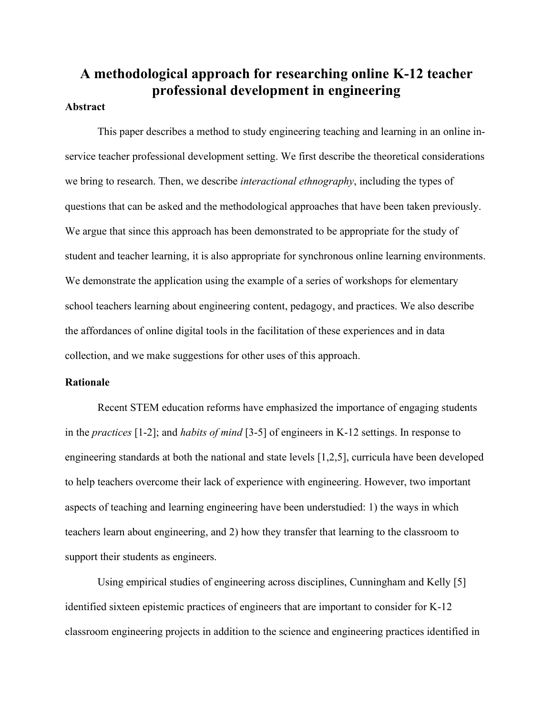# **A methodological approach for researching online K-12 teacher professional development in engineering**

# **Abstract**

This paper describes a method to study engineering teaching and learning in an online inservice teacher professional development setting. We first describe the theoretical considerations we bring to research. Then, we describe *interactional ethnography*, including the types of questions that can be asked and the methodological approaches that have been taken previously. We argue that since this approach has been demonstrated to be appropriate for the study of student and teacher learning, it is also appropriate for synchronous online learning environments. We demonstrate the application using the example of a series of workshops for elementary school teachers learning about engineering content, pedagogy, and practices. We also describe the affordances of online digital tools in the facilitation of these experiences and in data collection, and we make suggestions for other uses of this approach.

# **Rationale**

Recent STEM education reforms have emphasized the importance of engaging students in the *practices* [1-2]; and *habits of mind* [3-5] of engineers in K-12 settings. In response to engineering standards at both the national and state levels [1,2,5], curricula have been developed to help teachers overcome their lack of experience with engineering. However, two important aspects of teaching and learning engineering have been understudied: 1) the ways in which teachers learn about engineering, and 2) how they transfer that learning to the classroom to support their students as engineers.

Using empirical studies of engineering across disciplines, Cunningham and Kelly [5] identified sixteen epistemic practices of engineers that are important to consider for K-12 classroom engineering projects in addition to the science and engineering practices identified in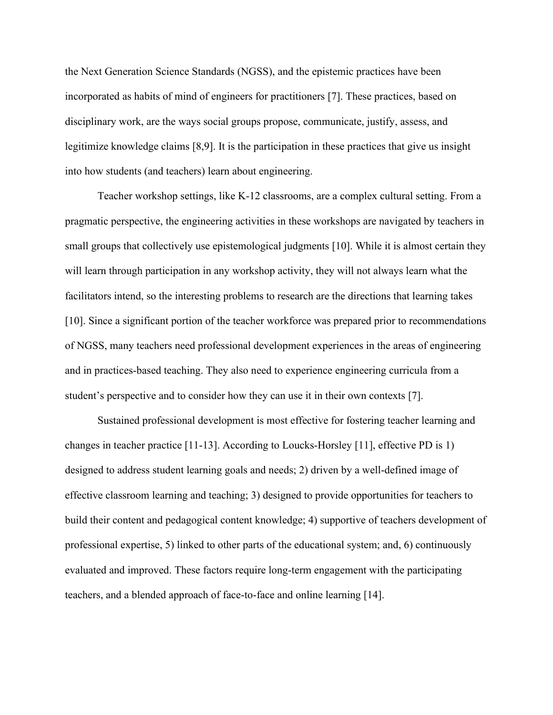the Next Generation Science Standards (NGSS), and the epistemic practices have been incorporated as habits of mind of engineers for practitioners [7]. These practices, based on disciplinary work, are the ways social groups propose, communicate, justify, assess, and legitimize knowledge claims [8,9]. It is the participation in these practices that give us insight into how students (and teachers) learn about engineering.

Teacher workshop settings, like K-12 classrooms, are a complex cultural setting. From a pragmatic perspective, the engineering activities in these workshops are navigated by teachers in small groups that collectively use epistemological judgments [10]. While it is almost certain they will learn through participation in any workshop activity, they will not always learn what the facilitators intend, so the interesting problems to research are the directions that learning takes [10]. Since a significant portion of the teacher workforce was prepared prior to recommendations of NGSS, many teachers need professional development experiences in the areas of engineering and in practices-based teaching. They also need to experience engineering curricula from a student's perspective and to consider how they can use it in their own contexts [7].

Sustained professional development is most effective for fostering teacher learning and changes in teacher practice [11-13]. According to Loucks-Horsley [11], effective PD is 1) designed to address student learning goals and needs; 2) driven by a well-defined image of effective classroom learning and teaching; 3) designed to provide opportunities for teachers to build their content and pedagogical content knowledge; 4) supportive of teachers development of professional expertise, 5) linked to other parts of the educational system; and, 6) continuously evaluated and improved. These factors require long-term engagement with the participating teachers, and a blended approach of face-to-face and online learning [14].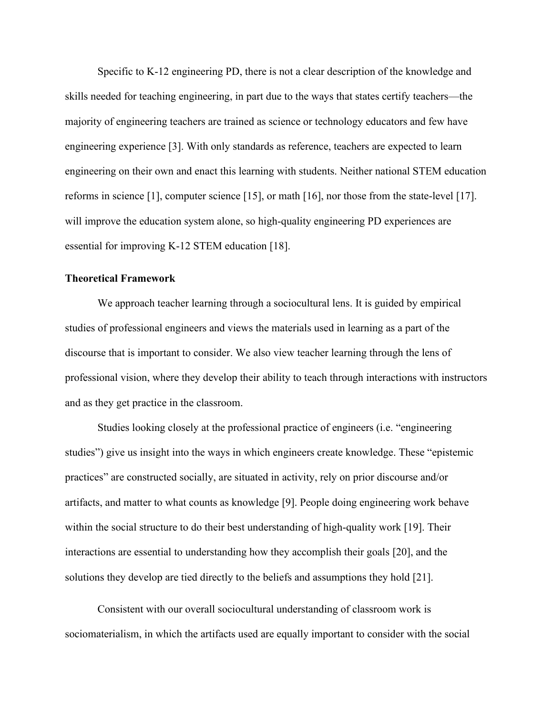Specific to K-12 engineering PD, there is not a clear description of the knowledge and skills needed for teaching engineering, in part due to the ways that states certify teachers—the majority of engineering teachers are trained as science or technology educators and few have engineering experience [3]. With only standards as reference, teachers are expected to learn engineering on their own and enact this learning with students. Neither national STEM education reforms in science [1], computer science [15], or math [16], nor those from the state-level [17]. will improve the education system alone, so high-quality engineering PD experiences are essential for improving K-12 STEM education [18].

# **Theoretical Framework**

We approach teacher learning through a sociocultural lens. It is guided by empirical studies of professional engineers and views the materials used in learning as a part of the discourse that is important to consider. We also view teacher learning through the lens of professional vision, where they develop their ability to teach through interactions with instructors and as they get practice in the classroom.

Studies looking closely at the professional practice of engineers (i.e. "engineering studies") give us insight into the ways in which engineers create knowledge. These "epistemic practices" are constructed socially, are situated in activity, rely on prior discourse and/or artifacts, and matter to what counts as knowledge [9]. People doing engineering work behave within the social structure to do their best understanding of high-quality work [19]. Their interactions are essential to understanding how they accomplish their goals [20], and the solutions they develop are tied directly to the beliefs and assumptions they hold [21].

Consistent with our overall sociocultural understanding of classroom work is sociomaterialism, in which the artifacts used are equally important to consider with the social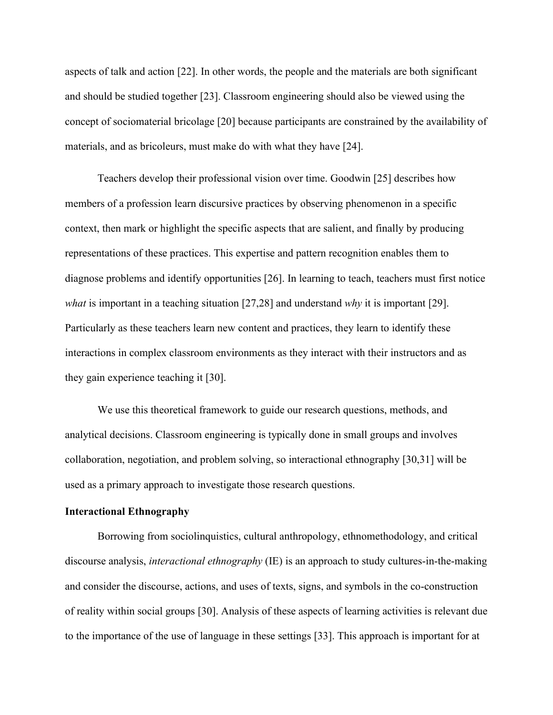aspects of talk and action [22]. In other words, the people and the materials are both significant and should be studied together [23]. Classroom engineering should also be viewed using the concept of sociomaterial bricolage [20] because participants are constrained by the availability of materials, and as bricoleurs, must make do with what they have [24].

Teachers develop their professional vision over time. Goodwin [25] describes how members of a profession learn discursive practices by observing phenomenon in a specific context, then mark or highlight the specific aspects that are salient, and finally by producing representations of these practices. This expertise and pattern recognition enables them to diagnose problems and identify opportunities [26]. In learning to teach, teachers must first notice *what* is important in a teaching situation [27,28] and understand *why* it is important [29]. Particularly as these teachers learn new content and practices, they learn to identify these interactions in complex classroom environments as they interact with their instructors and as they gain experience teaching it [30].

We use this theoretical framework to guide our research questions, methods, and analytical decisions. Classroom engineering is typically done in small groups and involves collaboration, negotiation, and problem solving, so interactional ethnography [30,31] will be used as a primary approach to investigate those research questions.

# **Interactional Ethnography**

Borrowing from sociolinquistics, cultural anthropology, ethnomethodology, and critical discourse analysis, *interactional ethnography* (IE) is an approach to study cultures-in-the-making and consider the discourse, actions, and uses of texts, signs, and symbols in the co-construction of reality within social groups [30]. Analysis of these aspects of learning activities is relevant due to the importance of the use of language in these settings [33]. This approach is important for at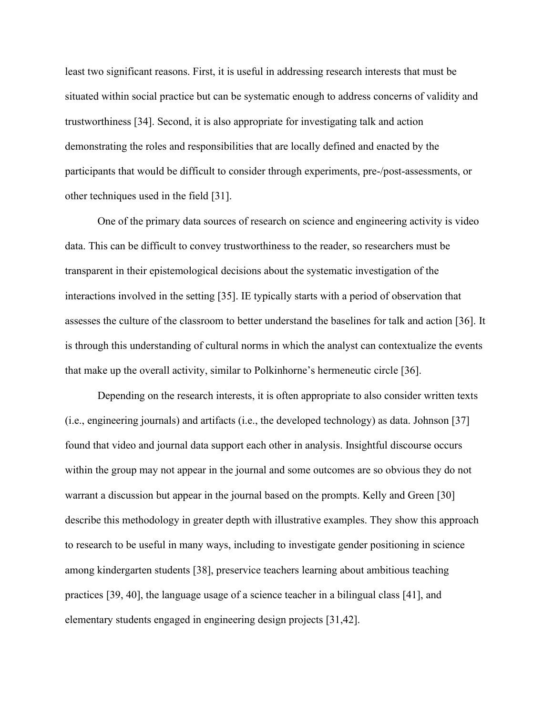least two significant reasons. First, it is useful in addressing research interests that must be situated within social practice but can be systematic enough to address concerns of validity and trustworthiness [34]. Second, it is also appropriate for investigating talk and action demonstrating the roles and responsibilities that are locally defined and enacted by the participants that would be difficult to consider through experiments, pre-/post-assessments, or other techniques used in the field [31].

One of the primary data sources of research on science and engineering activity is video data. This can be difficult to convey trustworthiness to the reader, so researchers must be transparent in their epistemological decisions about the systematic investigation of the interactions involved in the setting [35]. IE typically starts with a period of observation that assesses the culture of the classroom to better understand the baselines for talk and action [36]. It is through this understanding of cultural norms in which the analyst can contextualize the events that make up the overall activity, similar to Polkinhorne's hermeneutic circle [36].

Depending on the research interests, it is often appropriate to also consider written texts (i.e., engineering journals) and artifacts (i.e., the developed technology) as data. Johnson [37] found that video and journal data support each other in analysis. Insightful discourse occurs within the group may not appear in the journal and some outcomes are so obvious they do not warrant a discussion but appear in the journal based on the prompts. Kelly and Green [30] describe this methodology in greater depth with illustrative examples. They show this approach to research to be useful in many ways, including to investigate gender positioning in science among kindergarten students [38], preservice teachers learning about ambitious teaching practices [39, 40], the language usage of a science teacher in a bilingual class [41], and elementary students engaged in engineering design projects [31,42].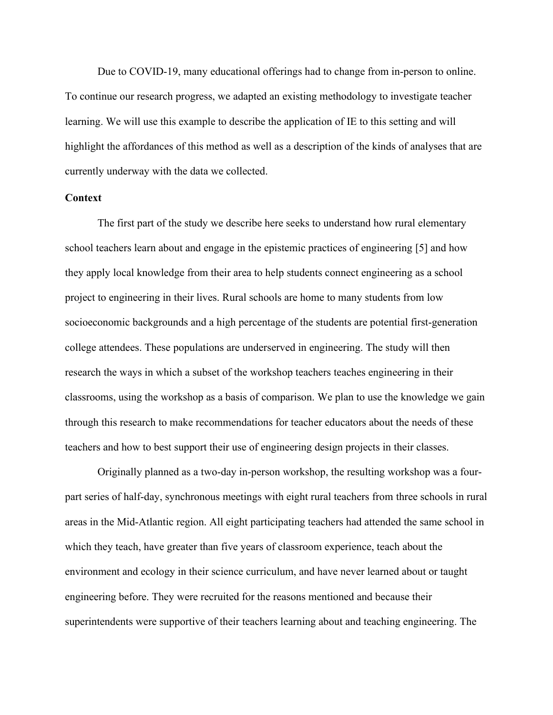Due to COVID-19, many educational offerings had to change from in-person to online. To continue our research progress, we adapted an existing methodology to investigate teacher learning. We will use this example to describe the application of IE to this setting and will highlight the affordances of this method as well as a description of the kinds of analyses that are currently underway with the data we collected.

## **Context**

The first part of the study we describe here seeks to understand how rural elementary school teachers learn about and engage in the epistemic practices of engineering [5] and how they apply local knowledge from their area to help students connect engineering as a school project to engineering in their lives. Rural schools are home to many students from low socioeconomic backgrounds and a high percentage of the students are potential first-generation college attendees. These populations are underserved in engineering. The study will then research the ways in which a subset of the workshop teachers teaches engineering in their classrooms, using the workshop as a basis of comparison. We plan to use the knowledge we gain through this research to make recommendations for teacher educators about the needs of these teachers and how to best support their use of engineering design projects in their classes.

Originally planned as a two-day in-person workshop, the resulting workshop was a fourpart series of half-day, synchronous meetings with eight rural teachers from three schools in rural areas in the Mid-Atlantic region. All eight participating teachers had attended the same school in which they teach, have greater than five years of classroom experience, teach about the environment and ecology in their science curriculum, and have never learned about or taught engineering before. They were recruited for the reasons mentioned and because their superintendents were supportive of their teachers learning about and teaching engineering. The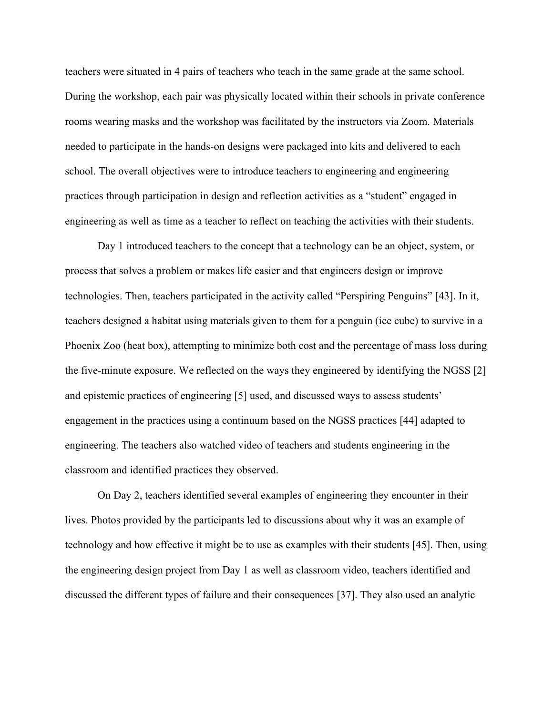teachers were situated in 4 pairs of teachers who teach in the same grade at the same school. During the workshop, each pair was physically located within their schools in private conference rooms wearing masks and the workshop was facilitated by the instructors via Zoom. Materials needed to participate in the hands-on designs were packaged into kits and delivered to each school. The overall objectives were to introduce teachers to engineering and engineering practices through participation in design and reflection activities as a "student" engaged in engineering as well as time as a teacher to reflect on teaching the activities with their students.

Day 1 introduced teachers to the concept that a technology can be an object, system, or process that solves a problem or makes life easier and that engineers design or improve technologies. Then, teachers participated in the activity called "Perspiring Penguins" [43]. In it, teachers designed a habitat using materials given to them for a penguin (ice cube) to survive in a Phoenix Zoo (heat box), attempting to minimize both cost and the percentage of mass loss during the five-minute exposure. We reflected on the ways they engineered by identifying the NGSS [2] and epistemic practices of engineering [5] used, and discussed ways to assess students' engagement in the practices using a continuum based on the NGSS practices [44] adapted to engineering. The teachers also watched video of teachers and students engineering in the classroom and identified practices they observed.

On Day 2, teachers identified several examples of engineering they encounter in their lives. Photos provided by the participants led to discussions about why it was an example of technology and how effective it might be to use as examples with their students [45]. Then, using the engineering design project from Day 1 as well as classroom video, teachers identified and discussed the different types of failure and their consequences [37]. They also used an analytic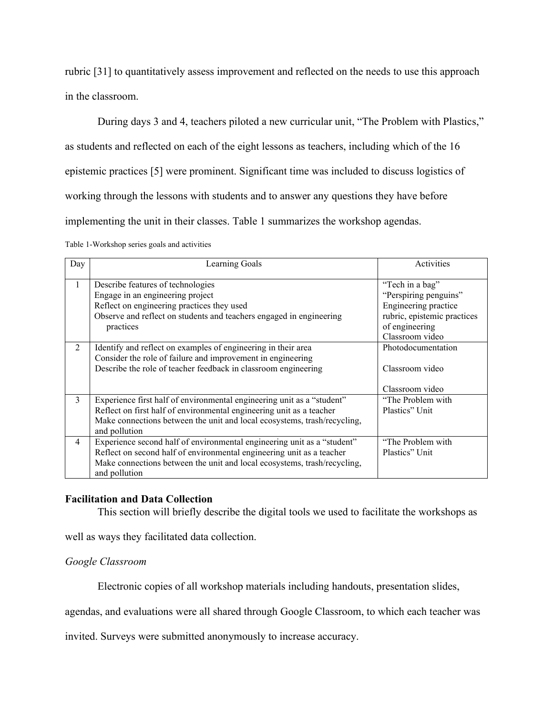rubric [31] to quantitatively assess improvement and reflected on the needs to use this approach in the classroom.

During days 3 and 4, teachers piloted a new curricular unit, "The Problem with Plastics," as students and reflected on each of the eight lessons as teachers, including which of the 16 epistemic practices [5] were prominent. Significant time was included to discuss logistics of working through the lessons with students and to answer any questions they have before implementing the unit in their classes. Table 1 summarizes the workshop agendas.

Table 1-Workshop series goals and activities

| Day            | Learning Goals                                                           | Activities                  |
|----------------|--------------------------------------------------------------------------|-----------------------------|
| 1              | Describe features of technologies                                        | "Tech in a bag"             |
|                | Engage in an engineering project                                         | "Perspiring penguins"       |
|                | Reflect on engineering practices they used                               | Engineering practice        |
|                | Observe and reflect on students and teachers engaged in engineering      | rubric, epistemic practices |
|                | practices                                                                | of engineering              |
|                |                                                                          | Classroom video             |
| $\mathfrak{D}$ | Identify and reflect on examples of engineering in their area            | Photodocumentation          |
|                | Consider the role of failure and improvement in engineering              |                             |
|                | Describe the role of teacher feedback in classroom engineering           | Classroom video             |
|                |                                                                          |                             |
|                |                                                                          | Classroom video             |
| 3              | Experience first half of environmental engineering unit as a "student"   | "The Problem with           |
|                | Reflect on first half of environmental engineering unit as a teacher     | Plastics" Unit              |
|                | Make connections between the unit and local ecosystems, trash/recycling, |                             |
|                | and pollution                                                            |                             |
| 4              | Experience second half of environmental engineering unit as a "student"  | "The Problem with           |
|                | Reflect on second half of environmental engineering unit as a teacher    | Plastics" Unit              |
|                | Make connections between the unit and local ecosystems, trash/recycling, |                             |
|                | and pollution                                                            |                             |

# **Facilitation and Data Collection**

This section will briefly describe the digital tools we used to facilitate the workshops as

well as ways they facilitated data collection.

# *Google Classroom*

Electronic copies of all workshop materials including handouts, presentation slides,

agendas, and evaluations were all shared through Google Classroom, to which each teacher was

invited. Surveys were submitted anonymously to increase accuracy.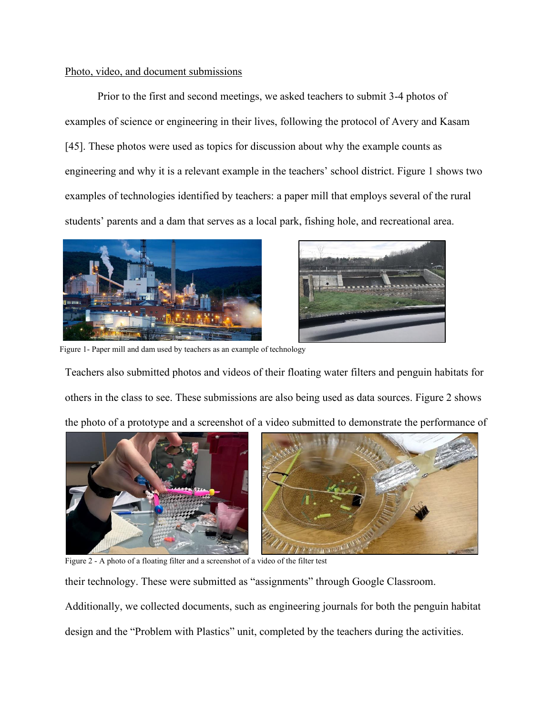# Photo, video, and document submissions

Prior to the first and second meetings, we asked teachers to submit 3-4 photos of examples of science or engineering in their lives, following the protocol of Avery and Kasam [45]. These photos were used as topics for discussion about why the example counts as engineering and why it is a relevant example in the teachers' school district. Figure 1 shows two examples of technologies identified by teachers: a paper mill that employs several of the rural students' parents and a dam that serves as a local park, fishing hole, and recreational area.





Figure 1- Paper mill and dam used by teachers as an example of technology

Teachers also submitted photos and videos of their floating water filters and penguin habitats for others in the class to see. These submissions are also being used as data sources. Figure 2 shows the photo of a prototype and a screenshot of a video submitted to demonstrate the performance of



Figure 2 - A photo of a floating filter and a screenshot of a video of the filter test

their technology. These were submitted as "assignments" through Google Classroom.

Additionally, we collected documents, such as engineering journals for both the penguin habitat design and the "Problem with Plastics" unit, completed by the teachers during the activities.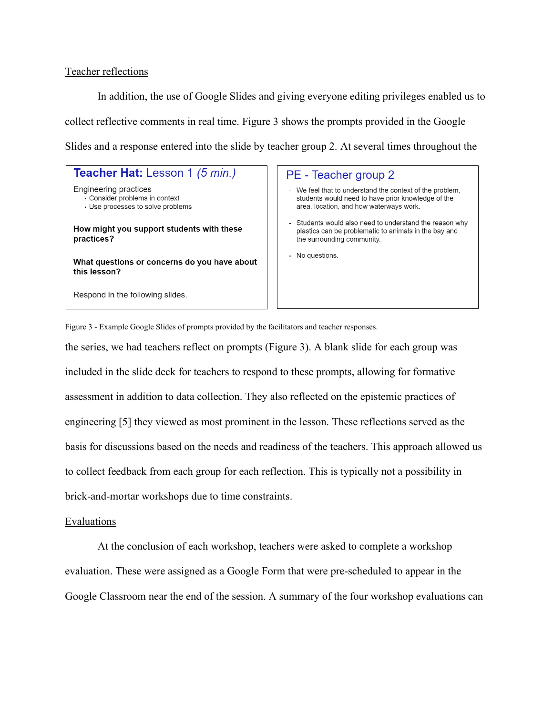# Teacher reflections

In addition, the use of Google Slides and giving everyone editing privileges enabled us to collect reflective comments in real time. Figure 3 shows the prompts provided in the Google Slides and a response entered into the slide by teacher group 2. At several times throughout the

| <b>Teacher Hat:</b> Lesson 1 (5 min.)                                                        |  |                  |  |
|----------------------------------------------------------------------------------------------|--|------------------|--|
| Engineering practices<br>· Consider problems in context<br>• Use processes to solve problems |  | Wε<br>stu<br>are |  |
| How might you support students with these<br>practices?                                      |  |                  |  |
| What questions or concerns do you have about<br>this lesson?                                 |  |                  |  |
| Respond in the following slides.                                                             |  |                  |  |

## - Teacher group 2

- e feel that to understand the context of the problem, idents would need to have prior knowledge of the ea, location, and how waterways work.
- udents would also need to understand the reason why astics can be problematic to animals in the bay and e surrounding community.
- o questions.

Figure 3 - Example Google Slides of prompts provided by the facilitators and teacher responses.

the series, we had teachers reflect on prompts (Figure 3). A blank slide for each group was included in the slide deck for teachers to respond to these prompts, allowing for formative assessment in addition to data collection. They also reflected on the epistemic practices of engineering [5] they viewed as most prominent in the lesson. These reflections served as the basis for discussions based on the needs and readiness of the teachers. This approach allowed us to collect feedback from each group for each reflection. This is typically not a possibility in brick-and-mortar workshops due to time constraints.

#### Evaluations

At the conclusion of each workshop, teachers were asked to complete a workshop evaluation. These were assigned as a Google Form that were pre-scheduled to appear in the Google Classroom near the end of the session. A summary of the four workshop evaluations can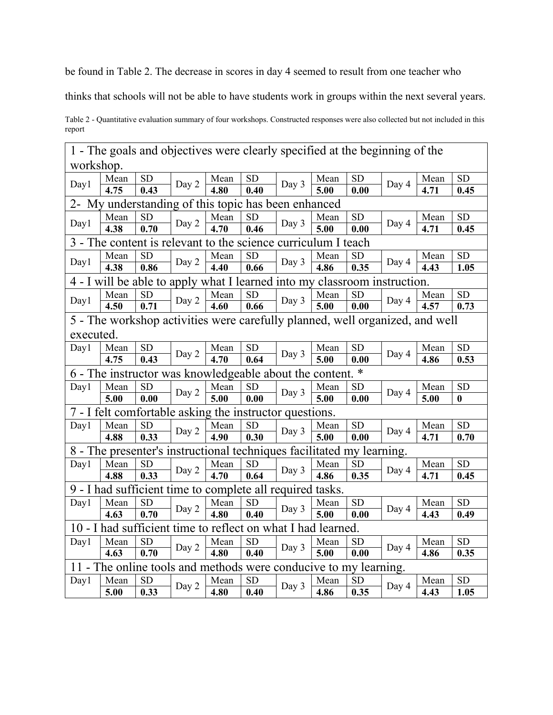be found in Table 2. The decrease in scores in day 4 seemed to result from one teacher who

thinks that schools will not be able to have students work in groups within the next several years.

Table 2 - Quantitative evaluation summary of four workshops. Constructed responses were also collected but not included in this report

| 1 - The goals and objectives were clearly specified at the beginning of the |                                                     |                   |           |                   |                   |                   |                                                                  |                   |                                                                              |      |            |
|-----------------------------------------------------------------------------|-----------------------------------------------------|-------------------|-----------|-------------------|-------------------|-------------------|------------------------------------------------------------------|-------------------|------------------------------------------------------------------------------|------|------------|
| workshop.                                                                   |                                                     |                   |           |                   |                   |                   |                                                                  |                   |                                                                              |      |            |
| Day1                                                                        | Mean                                                | <b>SD</b>         | Day 2     | Mean              | <b>SD</b>         | Day 3             | Mean                                                             | <b>SD</b>         | Day 4                                                                        | Mean | <b>SD</b>  |
|                                                                             | 4.75                                                | 0.43              |           | $\overline{4.80}$ | 0.40              |                   | $\overline{5.00}$                                                | 0.00              |                                                                              | 4.71 | 0.45       |
|                                                                             | 2- My understanding of this topic has been enhanced |                   |           |                   |                   |                   |                                                                  |                   |                                                                              |      |            |
| Day1                                                                        | Mean                                                | ${\rm SD}$        | Day 2     | Mean              | ${\rm SD}$        | Day 3             | Mean                                                             | SD                | Day 4                                                                        | Mean | ${\rm SD}$ |
|                                                                             | 4.38                                                | 0.70              |           | 4.70              | 0.46              |                   | 5.00                                                             | 0.00              |                                                                              | 4.71 | 0.45       |
|                                                                             |                                                     |                   |           |                   |                   |                   | 3 - The content is relevant to the science curriculum I teach    |                   |                                                                              |      |            |
| Day1                                                                        | Mean                                                | <b>SD</b>         | Day 2     | Mean              | <b>SD</b>         | Day 3             | Mean                                                             | <b>SD</b>         | Day 4                                                                        | Mean | SD         |
|                                                                             | 4.38                                                | 0.86              |           | 4.40              | 0.66              |                   | 4.86                                                             | 0.35              |                                                                              | 4.43 | 1.05       |
|                                                                             |                                                     |                   |           |                   |                   |                   |                                                                  |                   | 4 - I will be able to apply what I learned into my classroom instruction.    |      |            |
| Day1                                                                        | Mean                                                | ${\rm SD}$        | Day 2     | Mean              | ${\rm SD}$        | Day 3             | Mean                                                             | ${\rm SD}$        | Day 4                                                                        | Mean | ${\rm SD}$ |
|                                                                             | 4.50                                                | 0.71              |           | 4.60              | 0.66              |                   | 5.00                                                             | 0.00              |                                                                              | 4.57 | 0.73       |
|                                                                             |                                                     |                   |           |                   |                   |                   |                                                                  |                   | 5 - The workshop activities were carefully planned, well organized, and well |      |            |
| executed.                                                                   |                                                     |                   |           |                   |                   |                   |                                                                  |                   |                                                                              |      |            |
| Day1                                                                        | Mean                                                | <b>SD</b>         | Day 2     | Mean              | <b>SD</b>         | Day 3             | Mean                                                             | <b>SD</b>         | Day 4                                                                        | Mean | SD         |
|                                                                             | 4.75                                                | 0.43              |           | 4.70              | 0.64              |                   | $\overline{5.00}$                                                | $\overline{0.00}$ |                                                                              | 4.86 | 0.53       |
| 6 - The instructor was knowledgeable about the content. *                   |                                                     |                   |           |                   |                   |                   |                                                                  |                   |                                                                              |      |            |
| Day1                                                                        | Mean                                                | ${\rm SD}$        | Day 2     | Mean              | <b>SD</b>         | Day 3             | Mean                                                             | <b>SD</b>         | Day 4                                                                        | Mean | ${\rm SD}$ |
|                                                                             | 5.00                                                | 0.00              |           | 5.00              | 0.00              |                   | 5.00                                                             | 0.00              |                                                                              | 5.00 | $\bf{0}$   |
| 7 - I felt comfortable asking the instructor questions.                     |                                                     |                   |           |                   |                   |                   |                                                                  |                   |                                                                              |      |            |
| Day1                                                                        | Mean                                                | ${\rm SD}$        | Day 2     | Mean              | <b>SD</b>         | Day 3             | Mean                                                             | <b>SD</b>         | Day 4                                                                        | Mean | SD         |
|                                                                             | 4.88                                                | 0.33              |           | 4.90              | $\overline{0.30}$ | $\overline{5.00}$ | 0.00                                                             |                   | 4.71                                                                         | 0.70 |            |
| 8 - The presenter's instructional techniques facilitated my learning.       |                                                     |                   |           |                   |                   |                   |                                                                  |                   |                                                                              |      |            |
| Day1                                                                        | Mean                                                | <b>SD</b>         | Day 2     | Mean              | <b>SD</b>         | Day 3             | Mean                                                             | ${\rm SD}$        | Day 4                                                                        | Mean | ${\rm SD}$ |
|                                                                             | 4.88                                                | 0.33              |           | 4.70              | 0.64              |                   | 4.86                                                             | 0.35              |                                                                              | 4.71 | 0.45       |
| 9 - I had sufficient time to complete all required tasks.                   |                                                     |                   |           |                   |                   |                   |                                                                  |                   |                                                                              |      |            |
| Day1                                                                        | Mean                                                | SD                | Day 2     | Mean              | ${\rm SD}$        | Day 3             | Mean                                                             | ${\rm SD}$        | Day 4                                                                        | Mean | ${\rm SD}$ |
|                                                                             | 4.63                                                | 0.70              |           | 4.80              | 0.40              |                   | 5.00                                                             | 0.00              |                                                                              | 4.43 | 0.49       |
| 10 - I had sufficient time to reflect on what I had learned.                |                                                     |                   |           |                   |                   |                   |                                                                  |                   |                                                                              |      |            |
| Day1                                                                        | Mean                                                | <b>SD</b>         |           | Mean              | <b>SD</b>         | Day 3             | Mean                                                             | <b>SD</b>         | Day 4                                                                        | Mean | SD         |
|                                                                             | 4.63                                                | $\overline{0.70}$ | Day 2     | $\overline{4.80}$ | $\overline{0.40}$ |                   | $\overline{5.00}$                                                | $\overline{0.00}$ |                                                                              | 4.86 | 0.35       |
|                                                                             |                                                     |                   |           |                   |                   |                   | 11 - The online tools and methods were conducive to my learning. |                   |                                                                              |      |            |
| Day1                                                                        | Mean<br><b>SD</b>                                   | Mean              | <b>SD</b> | Day 3             | Mean              | <b>SD</b>         | Day 4                                                            | Mean              | ${\rm SD}$                                                                   |      |            |
|                                                                             | 5.00                                                | 0.33              | Day 2     | 4.80              | 0.40              |                   | 4.86                                                             | 0.35              |                                                                              | 4.43 | 1.05       |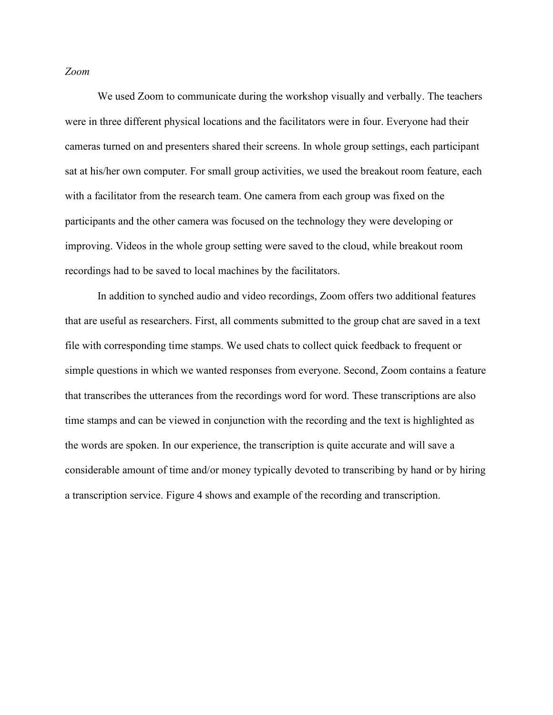## *Zoom*

We used Zoom to communicate during the workshop visually and verbally. The teachers were in three different physical locations and the facilitators were in four. Everyone had their cameras turned on and presenters shared their screens. In whole group settings, each participant sat at his/her own computer. For small group activities, we used the breakout room feature, each with a facilitator from the research team. One camera from each group was fixed on the participants and the other camera was focused on the technology they were developing or improving. Videos in the whole group setting were saved to the cloud, while breakout room recordings had to be saved to local machines by the facilitators.

In addition to synched audio and video recordings, Zoom offers two additional features that are useful as researchers. First, all comments submitted to the group chat are saved in a text file with corresponding time stamps. We used chats to collect quick feedback to frequent or simple questions in which we wanted responses from everyone. Second, Zoom contains a feature that transcribes the utterances from the recordings word for word. These transcriptions are also time stamps and can be viewed in conjunction with the recording and the text is highlighted as the words are spoken. In our experience, the transcription is quite accurate and will save a considerable amount of time and/or money typically devoted to transcribing by hand or by hiring a transcription service. Figure 4 shows and example of the recording and transcription.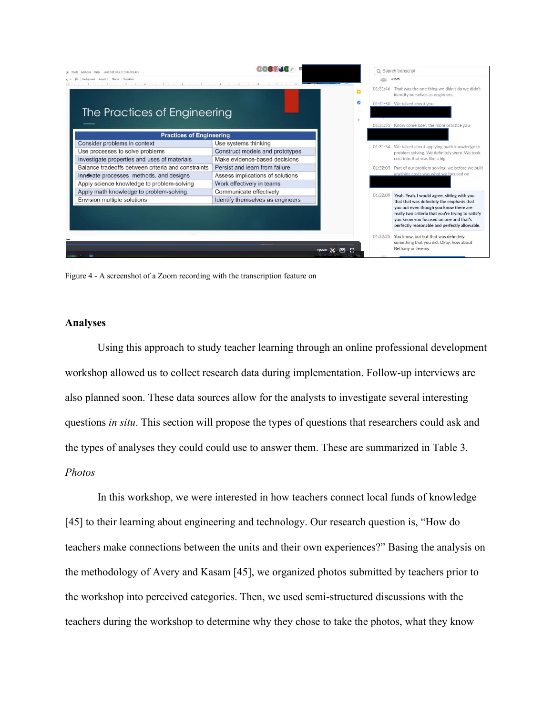

Figure 4 - A screenshot of a Zoom recording with the transcription feature on

# **Analyses**

Using this approach to study teacher learning through an online professional development workshop allowed us to collect research data during implementation. Follow-up interviews are also planned soon. These data sources allow for the analysts to investigate several interesting questions *in situ*. This section will propose the types of questions that researchers could ask and the types of analyses they could could use to answer them. These are summarized in Table 3. *Photos*

In this workshop, we were interested in how teachers connect local funds of knowledge [45] to their learning about engineering and technology. Our research question is, "How do teachers make connections between the units and their own experiences?" Basing the analysis on the methodology of Avery and Kasam [45], we organized photos submitted by teachers prior to the workshop into perceived categories. Then, we used semi-structured discussions with the teachers during the workshop to determine why they chose to take the photos, what they know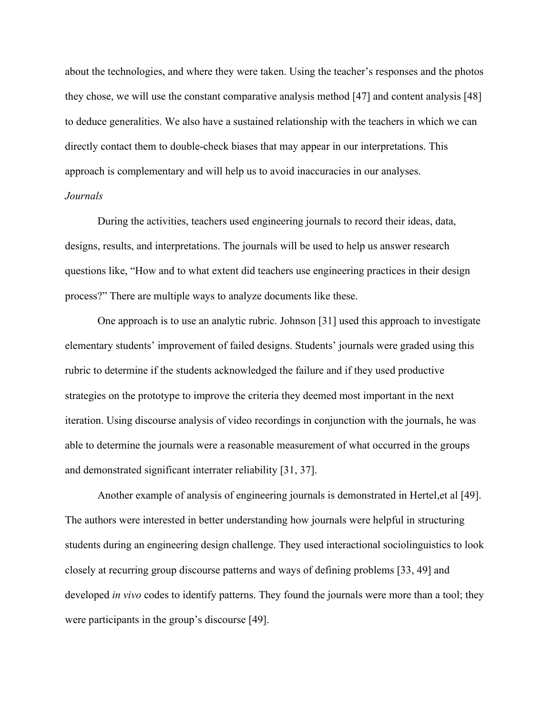about the technologies, and where they were taken. Using the teacher's responses and the photos they chose, we will use the constant comparative analysis method [47] and content analysis [48] to deduce generalities. We also have a sustained relationship with the teachers in which we can directly contact them to double-check biases that may appear in our interpretations. This approach is complementary and will help us to avoid inaccuracies in our analyses. *Journals*

During the activities, teachers used engineering journals to record their ideas, data, designs, results, and interpretations. The journals will be used to help us answer research questions like, "How and to what extent did teachers use engineering practices in their design process?" There are multiple ways to analyze documents like these.

One approach is to use an analytic rubric. Johnson [31] used this approach to investigate elementary students' improvement of failed designs. Students' journals were graded using this rubric to determine if the students acknowledged the failure and if they used productive strategies on the prototype to improve the criteria they deemed most important in the next iteration. Using discourse analysis of video recordings in conjunction with the journals, he was able to determine the journals were a reasonable measurement of what occurred in the groups and demonstrated significant interrater reliability [31, 37].

Another example of analysis of engineering journals is demonstrated in Hertel,et al [49]. The authors were interested in better understanding how journals were helpful in structuring students during an engineering design challenge. They used interactional sociolinguistics to look closely at recurring group discourse patterns and ways of defining problems [33, 49] and developed *in vivo* codes to identify patterns. They found the journals were more than a tool; they were participants in the group's discourse [49].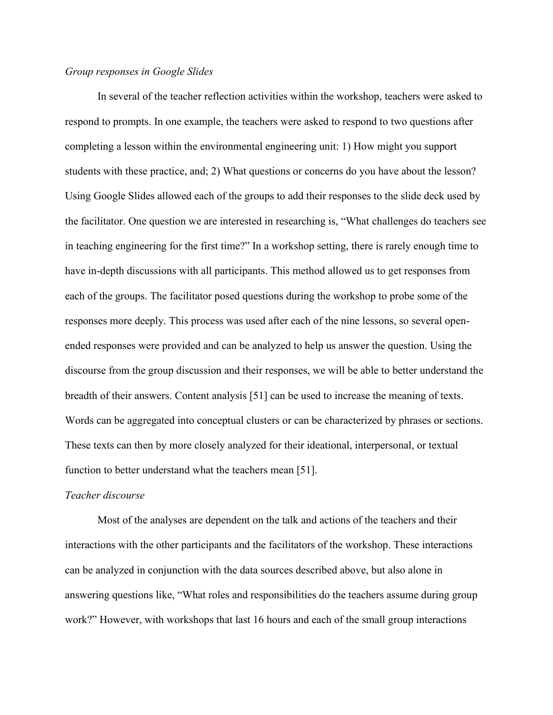## *Group responses in Google Slides*

In several of the teacher reflection activities within the workshop, teachers were asked to respond to prompts. In one example, the teachers were asked to respond to two questions after completing a lesson within the environmental engineering unit: 1) How might you support students with these practice, and; 2) What questions or concerns do you have about the lesson? Using Google Slides allowed each of the groups to add their responses to the slide deck used by the facilitator. One question we are interested in researching is, "What challenges do teachers see in teaching engineering for the first time?" In a workshop setting, there is rarely enough time to have in-depth discussions with all participants. This method allowed us to get responses from each of the groups. The facilitator posed questions during the workshop to probe some of the responses more deeply. This process was used after each of the nine lessons, so several openended responses were provided and can be analyzed to help us answer the question. Using the discourse from the group discussion and their responses, we will be able to better understand the breadth of their answers. Content analysis [51] can be used to increase the meaning of texts. Words can be aggregated into conceptual clusters or can be characterized by phrases or sections. These texts can then by more closely analyzed for their ideational, interpersonal, or textual function to better understand what the teachers mean [51].

# *Teacher discourse*

Most of the analyses are dependent on the talk and actions of the teachers and their interactions with the other participants and the facilitators of the workshop. These interactions can be analyzed in conjunction with the data sources described above, but also alone in answering questions like, "What roles and responsibilities do the teachers assume during group work?" However, with workshops that last 16 hours and each of the small group interactions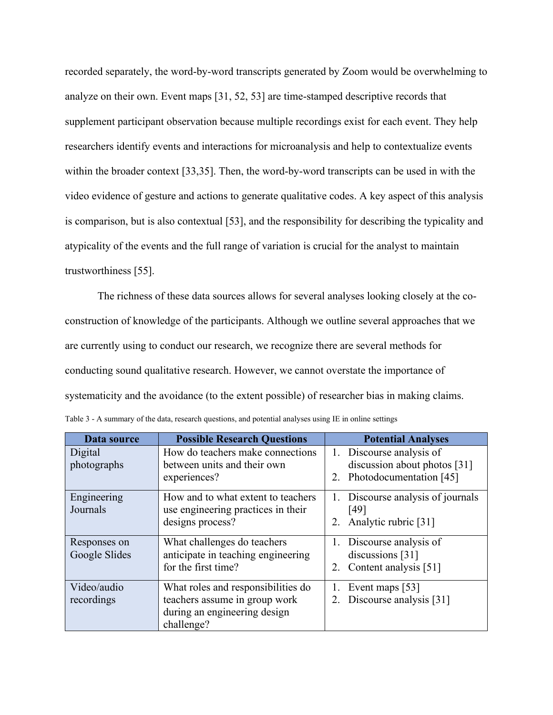recorded separately, the word-by-word transcripts generated by Zoom would be overwhelming to analyze on their own. Event maps [31, 52, 53] are time-stamped descriptive records that supplement participant observation because multiple recordings exist for each event. They help researchers identify events and interactions for microanalysis and help to contextualize events within the broader context [33,35]. Then, the word-by-word transcripts can be used in with the video evidence of gesture and actions to generate qualitative codes. A key aspect of this analysis is comparison, but is also contextual [53], and the responsibility for describing the typicality and atypicality of the events and the full range of variation is crucial for the analyst to maintain trustworthiness [55].

The richness of these data sources allows for several analyses looking closely at the coconstruction of knowledge of the participants. Although we outline several approaches that we are currently using to conduct our research, we recognize there are several methods for conducting sound qualitative research. However, we cannot overstate the importance of systematicity and the avoidance (to the extent possible) of researcher bias in making claims. Table 3 - A summary of the data, research questions, and potential analyses using IE in online settings

| Data source                   | <b>Possible Research Questions</b>                                                                                | <b>Potential Analyses</b>                                                                 |
|-------------------------------|-------------------------------------------------------------------------------------------------------------------|-------------------------------------------------------------------------------------------|
| Digital<br>photographs        | How do teachers make connections<br>between units and their own<br>experiences?                                   | 1. Discourse analysis of<br>discussion about photos [31]<br>Photodocumentation [45]<br>2. |
| Engineering<br>Journals       | How and to what extent to teachers<br>use engineering practices in their<br>designs process?                      | Discourse analysis of journals<br>[49]<br>Analytic rubric [31]<br>2.                      |
| Responses on<br>Google Slides | What challenges do teachers<br>anticipate in teaching engineering<br>for the first time?                          | 1. Discourse analysis of<br>discussions [31]<br>Content analysis [51]<br>2.               |
| Video/audio<br>recordings     | What roles and responsibilities do<br>teachers assume in group work<br>during an engineering design<br>challenge? | Event maps [53]<br>Discourse analysis [31]                                                |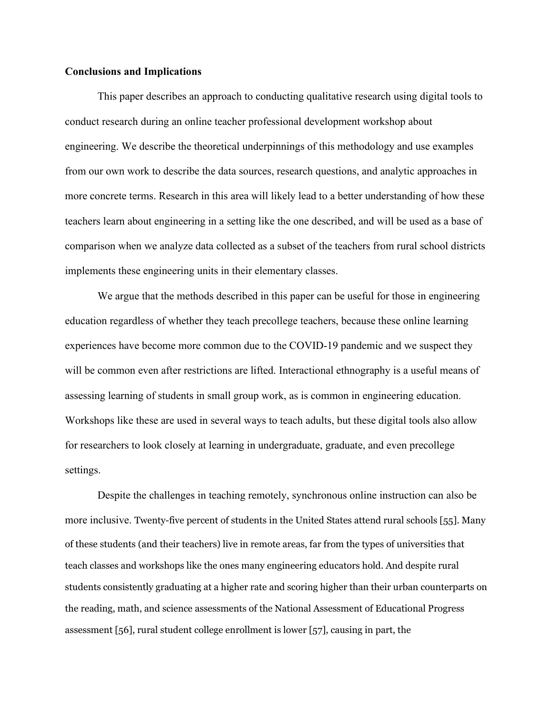# **Conclusions and Implications**

This paper describes an approach to conducting qualitative research using digital tools to conduct research during an online teacher professional development workshop about engineering. We describe the theoretical underpinnings of this methodology and use examples from our own work to describe the data sources, research questions, and analytic approaches in more concrete terms. Research in this area will likely lead to a better understanding of how these teachers learn about engineering in a setting like the one described, and will be used as a base of comparison when we analyze data collected as a subset of the teachers from rural school districts implements these engineering units in their elementary classes.

We argue that the methods described in this paper can be useful for those in engineering education regardless of whether they teach precollege teachers, because these online learning experiences have become more common due to the COVID-19 pandemic and we suspect they will be common even after restrictions are lifted. Interactional ethnography is a useful means of assessing learning of students in small group work, as is common in engineering education. Workshops like these are used in several ways to teach adults, but these digital tools also allow for researchers to look closely at learning in undergraduate, graduate, and even precollege settings.

Despite the challenges in teaching remotely, synchronous online instruction can also be more inclusive. Twenty-five percent of students in the United States attend rural schools [55]. Many of these students (and their teachers) live in remote areas, far from the types of universities that teach classes and workshops like the ones many engineering educators hold. And despite rural students consistently graduating at a higher rate and scoring higher than their urban counterparts on the reading, math, and science assessments of the National Assessment of Educational Progress assessment [56], rural student college enrollment is lower [57], causing in part, the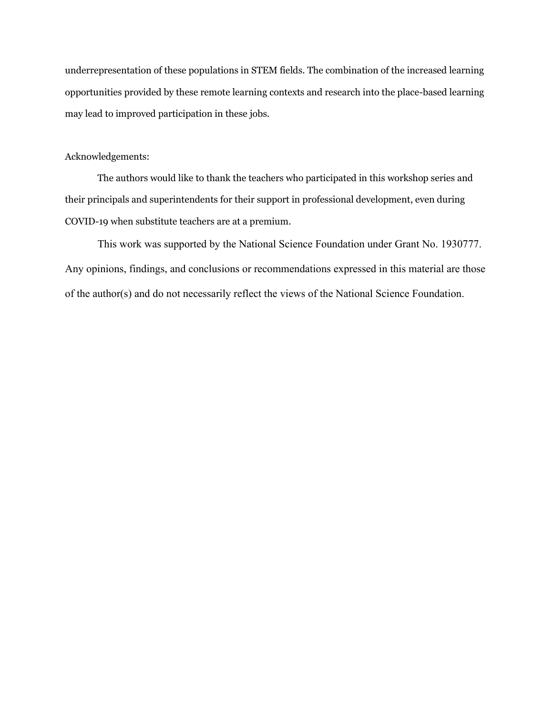underrepresentation of these populations in STEM fields. The combination of the increased learning opportunities provided by these remote learning contexts and research into the place-based learning may lead to improved participation in these jobs.

## Acknowledgements:

The authors would like to thank the teachers who participated in this workshop series and their principals and superintendents for their support in professional development, even during COVID-19 when substitute teachers are at a premium.

This work was supported by the National Science Foundation under Grant No. 1930777. Any opinions, findings, and conclusions or recommendations expressed in this material are those of the author(s) and do not necessarily reflect the views of the National Science Foundation.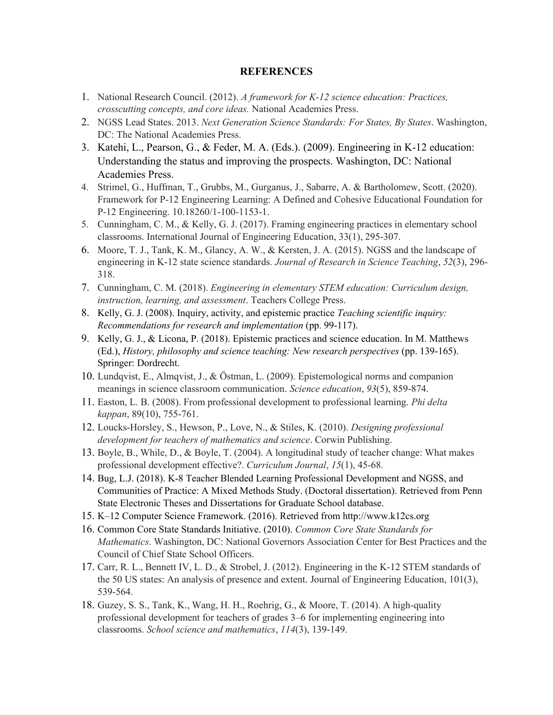#### **REFERENCES**

- 1. National Research Council. (2012). *A framework for K-12 science education: Practices, crosscutting concepts, and core ideas.* National Academies Press.
- 2. NGSS Lead States. 2013. *Next Generation Science Standards: For States, By States*. Washington, DC: The National Academies Press.
- 3. Katehi, L., Pearson, G., & Feder, M. A. (Eds.). (2009). Engineering in K-12 education: Understanding the status and improving the prospects. Washington, DC: National Academies Press.
- 4. Strimel, G., Huffman, T., Grubbs, M., Gurganus, J., Sabarre, A. & Bartholomew, Scott. (2020). Framework for P-12 Engineering Learning: A Defined and Cohesive Educational Foundation for P-12 Engineering. 10.18260/1-100-1153-1.
- 5. Cunningham, C. M., & Kelly, G. J. (2017). Framing engineering practices in elementary school classrooms. International Journal of Engineering Education, 33(1), 295-307.
- 6. Moore, T. J., Tank, K. M., Glancy, A. W., & Kersten, J. A. (2015). NGSS and the landscape of engineering in K‐12 state science standards. *Journal of Research in Science Teaching*, *52*(3), 296- 318.
- 7. Cunningham, C. M. (2018). *Engineering in elementary STEM education: Curriculum design, instruction, learning, and assessment*. Teachers College Press.
- 8. Kelly, G. J. (2008). Inquiry, activity, and epistemic practice *Teaching scientific inquiry: Recommendations for research and implementation* (pp. 99-117).
- 9. Kelly, G. J., & Licona, P. (2018). Epistemic practices and science education. In M. Matthews (Ed.), *History, philosophy and science teaching: New research perspectives* (pp. 139-165). Springer: Dordrecht.
- 10. Lundqvist, E., Almqvist, J., & Östman, L. (2009). Epistemological norms and companion meanings in science classroom communication. *Science education*, *93*(5), 859-874.
- 11. Easton, L. B. (2008). From professional development to professional learning. *Phi delta kappan*, 89(10), 755-761.
- 12. Loucks-Horsley, S., Hewson, P., Love, N., & Stiles, K. (2010). *Designing professional development for teachers of mathematics and science*. Corwin Publishing.
- 13. Boyle, B., While, D., & Boyle, T. (2004). A longitudinal study of teacher change: What makes professional development effective?. *Curriculum Journal*, *15*(1), 45-68.
- 14. Bug, L.J. (2018). K-8 Teacher Blended Learning Professional Development and NGSS, and Communities of Practice: A Mixed Methods Study. (Doctoral dissertation). Retrieved from Penn State Electronic Theses and Dissertations for Graduate School database.
- 15. [K–12 Computer Science Framework. \(2016\). Retrieved from http://www.k12cs.org](http://www.k12cs.org/)
- 16. Common Core State Standards Initiative. (2010). *Common Core State Standards for Mathematics*. Washington, DC: National Governors Association Center for Best Practices and the Council of Chief State School Officers.
- 17. Carr, R. L., Bennett IV, L. D., & Strobel, J. (2012). Engineering in the K‐12 STEM standards of the 50 US states: An analysis of presence and extent. Journal of Engineering Education, 101(3), 539-564.
- 18. Guzey, S. S., Tank, K., Wang, H. H., Roehrig, G., & Moore, T. (2014). A high‐quality professional development for teachers of grades 3–6 for implementing engineering into classrooms. *School science and mathematics*, *114*(3), 139-149.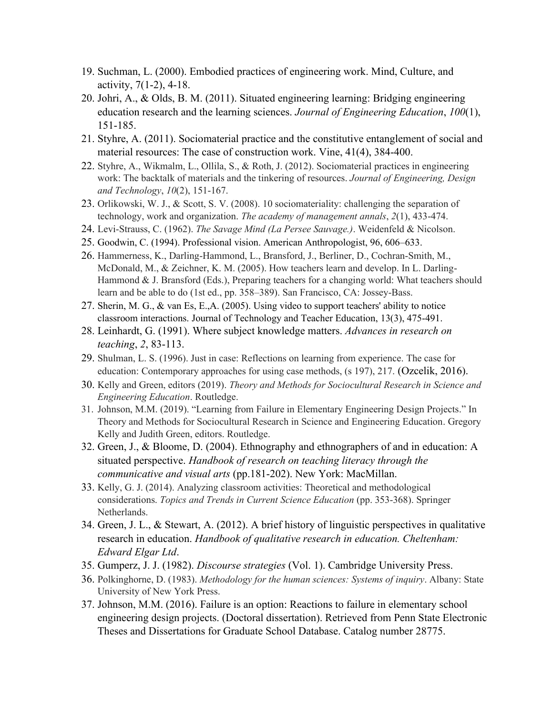- 19. Suchman, L. (2000). Embodied practices of engineering work. Mind, Culture, and activity, 7(1-2), 4-18.
- 20. Johri, A., & Olds, B. M. (2011). Situated engineering learning: Bridging engineering education research and the learning sciences. *Journal of Engineering Education*, *100*(1), 151-185.
- 21. Styhre, A. (2011). Sociomaterial practice and the constitutive entanglement of social and material resources: The case of construction work. Vine, 41(4), 384-400.
- 22. Styhre, A., Wikmalm, L., Ollila, S., & Roth, J. (2012). Sociomaterial practices in engineering work: The backtalk of materials and the tinkering of resources. *Journal of Engineering, Design and Technology*, *10*(2), 151-167.
- 23. Orlikowski, W. J., & Scott, S. V. (2008). 10 sociomateriality: challenging the separation of technology, work and organization. *The academy of management annals*, *2*(1), 433-474.
- 24. Levi-Strauss, C. (1962). *The Savage Mind (La Persee Sauvage.)*. Weidenfeld & Nicolson.
- 25. Goodwin, C. (1994). Professional vision. American Anthropologist, 96, 606–633.
- 26. Hammerness, K., Darling-Hammond, L., Bransford, J., Berliner, D., Cochran-Smith, M., McDonald, M., & Zeichner, K. M. (2005). How teachers learn and develop. In L. Darling-Hammond & J. Bransford (Eds.), Preparing teachers for a changing world: What teachers should learn and be able to do (1st ed., pp. 358–389). San Francisco, CA: Jossey-Bass.
- 27. Sherin, M. G., & van Es, E.,A. (2005). Using video to support teachers' ability to notice classroom interactions. Journal of Technology and Teacher Education, 13(3), 475-491.
- 28. Leinhardt, G. (1991). Where subject knowledge matters. *Advances in research on teaching*, *2*, 83-113.
- 29. Shulman, L. S. (1996). Just in case: Reflections on learning from experience. The case for education: Contemporary approaches for using case methods, (s 197), 217. (Ozcelik, 2016).
- 30. Kelly and Green, editors (2019). *Theory and Methods for Sociocultural Research in Science and Engineering Education*. Routledge.
- 31. Johnson, M.M. (2019). "Learning from Failure in Elementary Engineering Design Projects." In Theory and Methods for Sociocultural Research in Science and Engineering Education. Gregory Kelly and Judith Green, editors. Routledge.
- 32. Green, J., & Bloome, D. (2004). Ethnography and ethnographers of and in education: A situated perspective. *Handbook of research on teaching literacy through the communicative and visual arts* (pp.181-202). New York: MacMillan.
- 33. Kelly, G. J. (2014). Analyzing classroom activities: Theoretical and methodological considerations. *Topics and Trends in Current Science Education* (pp. 353-368). Springer Netherlands.
- 34. Green, J. L., & Stewart, A. (2012). A brief history of linguistic perspectives in qualitative research in education. *Handbook of qualitative research in education. Cheltenham: Edward Elgar Ltd*.
- 35. Gumperz, J. J. (1982). *Discourse strategies* (Vol. 1). Cambridge University Press.
- 36. Polkinghorne, D. (1983). *Methodology for the human sciences: Systems of inquiry*. Albany: State University of New York Press.
- 37. Johnson, M.M. (2016). Failure is an option: Reactions to failure in elementary school engineering design projects. (Doctoral dissertation). Retrieved from Penn State Electronic Theses and Dissertations for Graduate School Database. Catalog number 28775.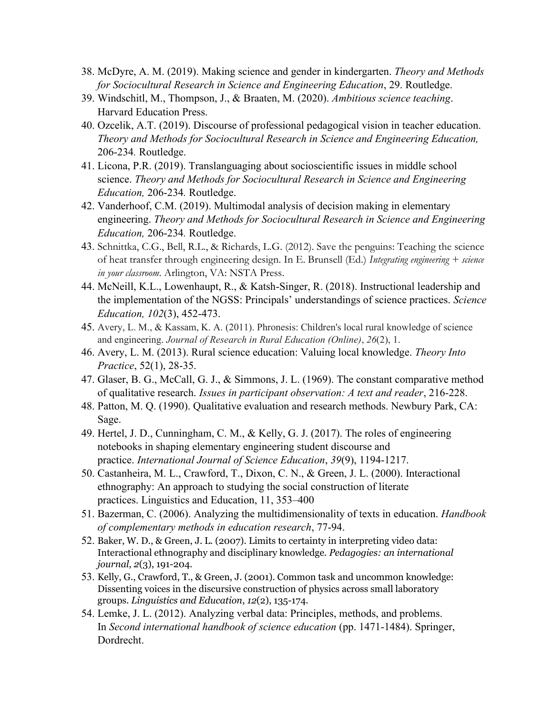- 38. McDyre, A. M. (2019). Making science and gender in kindergarten. *Theory and Methods for Sociocultural Research in Science and Engineering Education*, 29. Routledge.
- 39. Windschitl, M., Thompson, J., & Braaten, M. (2020). *Ambitious science teaching*. Harvard Education Press.
- 40. Ozcelik, A.T. (2019). Discourse of professional pedagogical vision in teacher education. *Theory and Methods for Sociocultural Research in Science and Engineering Education,*  206-234*.* Routledge.
- 41. Licona, P.R. (2019). Translanguaging about socioscientific issues in middle school science. *Theory and Methods for Sociocultural Research in Science and Engineering Education,* 206-234*.* Routledge.
- 42. Vanderhoof, C.M. (2019). Multimodal analysis of decision making in elementary engineering. *Theory and Methods for Sociocultural Research in Science and Engineering Education,* 206-234*.* Routledge.
- 43. Schnittka, C.G., Bell, R.L., & Richards, L.G. (2012). Save the penguins: Teaching the science of heat transfer through engineering design. In E. Brunsell (Ed.) *Integrating engineering + science in your classroom*. Arlington, VA: NSTA Press.
- 44. McNeill, K.L., Lowenhaupt, R., & Katsh-Singer, R. (2018). Instructional leadership and the implementation of the NGSS: Principals' understandings of science practices. *Science Education, 102*(3), 452-473.
- 45. Avery, L. M., & Kassam, K. A. (2011). Phronesis: Children's local rural knowledge of science and engineering. *Journal of Research in Rural Education (Online)*, *26*(2), 1.
- 46. Avery, L. M. (2013). Rural science education: Valuing local knowledge. *Theory Into Practice*, 52(1), 28-35.
- 47. Glaser, B. G., McCall, G. J., & Simmons, J. L. (1969). The constant comparative method of qualitative research. *Issues in participant observation: A text and reader*, 216-228.
- 48. Patton, M. Q. (1990). Qualitative evaluation and research methods. Newbury Park, CA: Sage.
- 49. Hertel, J. D., Cunningham, C. M., & Kelly, G. J. (2017). The roles of engineering notebooks in shaping elementary engineering student discourse and practice. *International Journal of Science Education*, *39*(9), 1194-1217.
- 50. Castanheira, M. L., Crawford, T., Dixon, C. N., & Green, J. L. (2000). Interactional ethnography: An approach to studying the social construction of literate practices. Linguistics and Education, 11, 353–400
- 51. Bazerman, C. (2006). Analyzing the multidimensionality of texts in education. *Handbook of complementary methods in education research*, 77-94.
- 52. Baker, W. D., & Green, J. L. (2007). Limits to certainty in interpreting video data: Interactional ethnography and disciplinary knowledge. *Pedagogies: an international journal*, *2*(3), 191-204.
- 53. Kelly, G., Crawford, T., & Green, J. (2001). Common task and uncommon knowledge: Dissenting voices in the discursive construction of physics across small laboratory groups. *Linguistics and Education*, *12*(2), 135-174.
- 54. Lemke, J. L. (2012). Analyzing verbal data: Principles, methods, and problems. In *Second international handbook of science education* (pp. 1471-1484). Springer, Dordrecht.